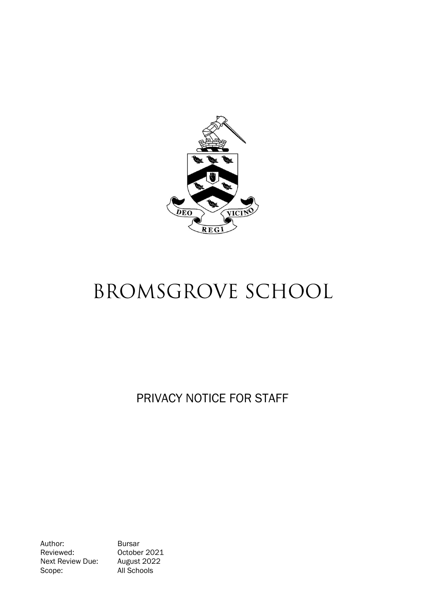

# BROMSGROVE SCHOOL

PRIVACY NOTICE FOR STAFF

Author: Bursar<br>Reviewed: Octobe Next Review Due: Scope: All Schools

October 2021<br>August 2022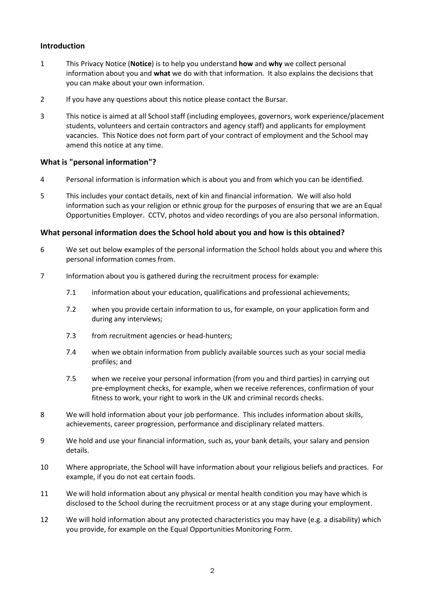## **Introduction**

- 1 This Privacy Notice (**Notice**) is to help you understand **how** and **why** we collect personal information about you and **what** we do with that information. It also explains the decisions that you can make about your own information.
- 2 If you have any questions about this notice please contact the Bursar.
- 3 This notice is aimed at all School staff (including employees, governors, work experience/placement students, volunteers and certain contractors and agency staff) and applicants for employment vacancies. This Notice does not form part of your contract of employment and the School may amend this notice at any time.

## **What is "personal information"?**

- 4 Personal information is information which is about you and from which you can be identified.
- 5 This includes your contact details, next of kin and financial information. We will also hold information such as your religion or ethnic group for the purposes of ensuring that we are an Equal Opportunities Employer. CCTV, photos and video recordings of you are also personal information.

#### **What personal information does the School hold about you and how is this obtained?**

- 6 We set out below examples of the personal information the School holds about you and where this personal information comes from.
- 7 Information about you is gathered during the recruitment process for example:
	- 7.1 information about your education, qualifications and professional achievements;
	- 7.2 when you provide certain information to us, for example, on your application form and during any interviews;
	- 7.3 from recruitment agencies or head-hunters;
	- 7.4 when we obtain information from publicly available sources such as your social media profiles; and
	- 7.5 when we receive your personal information (from you and third parties) in carrying out pre-employment checks, for example, when we receive references, confirmation of your fitness to work, your right to work in the UK and criminal records checks.
- 8 We will hold information about your job performance. This includes information about skills, achievements, career progression, performance and disciplinary related matters.
- 9 We hold and use your financial information, such as, your bank details, your salary and pension details.
- 10 Where appropriate, the School will have information about your religious beliefs and practices. For example, if you do not eat certain foods.
- 11 We will hold information about any physical or mental health condition you may have which is disclosed to the School during the recruitment process or at any stage during your employment.
- 12 We will hold information about any protected characteristics you may have (e.g. a disability) which you provide, for example on the Equal Opportunities Monitoring Form.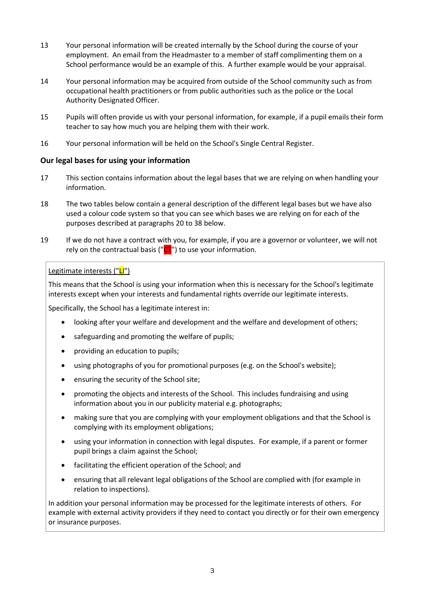- 13 Your personal information will be created internally by the School during the course of your employment. An email from the Headmaster to a member of staff complimenting them on a School performance would be an example of this. A further example would be your appraisal.
- 14 Your personal information may be acquired from outside of the School community such as from occupational health practitioners or from public authorities such as the police or the Local Authority Designated Officer.
- 15 Pupils will often provide us with your personal information, for example, if a pupil emails their form teacher to say how much you are helping them with their work.
- 16 Your personal information will be held on the School's Single Central Register.

## **Our legal bases for using your information**

- 17 This section contains information about the legal bases that we are relying on when handling your information.
- 18 The two tables below contain a general description of the different legal bases but we have also used a colour code system so that you can see which bases we are relying on for each of the purposes described at paragraphs [20](#page-4-0) to [38](#page-7-0) below.
- 19 If we do not have a contract with you, for example, if you are a governor or volunteer, we will not rely on the contractual basis (" $CT$ ") to use your information.

#### Legitimate interests ("LI")

This means that the School is using your information when this is necessary for the School's legitimate interests except when your interests and fundamental rights override our legitimate interests.

Specifically, the School has a legitimate interest in:

- looking after your welfare and development and the welfare and development of others;
- safeguarding and promoting the welfare of pupils;
- providing an education to pupils;
- using photographs of you for promotional purposes (e.g. on the School's website);
- ensuring the security of the School site;
- promoting the objects and interests of the School. This includes fundraising and using information about you in our publicity material e.g. photographs;
- making sure that you are complying with your employment obligations and that the School is complying with its employment obligations;
- using your information in connection with legal disputes. For example, if a parent or former pupil brings a claim against the School;
- facilitating the efficient operation of the School; and
- ensuring that all relevant legal obligations of the School are complied with (for example in relation to inspections).

In addition your personal information may be processed for the legitimate interests of others. For example with external activity providers if they need to contact you directly or for their own emergency or insurance purposes.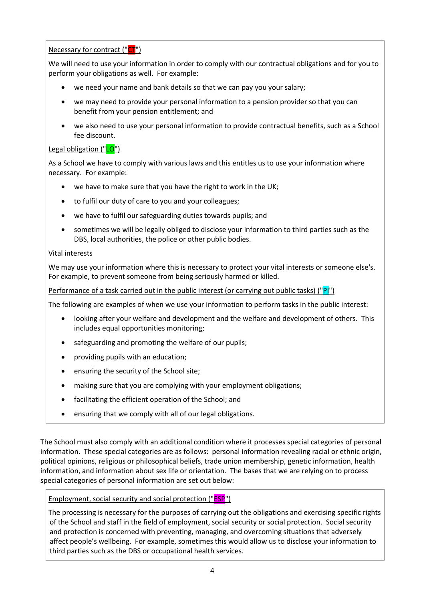# Necessary for contract ("CT")

We will need to use your information in order to comply with our contractual obligations and for you to perform your obligations as well. For example:

- we need your name and bank details so that we can pay you your salary;
- we may need to provide your personal information to a pension provider so that you can benefit from your pension entitlement; and
- we also need to use your personal information to provide contractual benefits, such as a School fee discount.

# Legal obligation ("LO")

As a School we have to comply with various laws and this entitles us to use your information where necessary. For example:

- we have to make sure that you have the right to work in the UK;
- to fulfil our duty of care to you and your colleagues;
- we have to fulfil our safeguarding duties towards pupils; and
- sometimes we will be legally obliged to disclose your information to third parties such as the DBS, local authorities, the police or other public bodies.

## Vital interests

We may use your information where this is necessary to protect your vital interests or someone else's. For example, to prevent someone from being seriously harmed or killed.

Performance of a task carried out in the public interest (or carrying out public tasks) ("PI")

The following are examples of when we use your information to perform tasks in the public interest:

- looking after your welfare and development and the welfare and development of others. This includes equal opportunities monitoring;
- safeguarding and promoting the welfare of our pupils;
- providing pupils with an education;
- ensuring the security of the School site;
- making sure that you are complying with your employment obligations;
- facilitating the efficient operation of the School; and
- ensuring that we comply with all of our legal obligations.

The School must also comply with an additional condition where it processes special categories of personal information. These special categories are as follows: personal information revealing racial or ethnic origin, political opinions, religious or philosophical beliefs, trade union membership, genetic information, health information, and information about sex life or orientation. The bases that we are relying on to process special categories of personal information are set out below:

## Employment, social security and social protection ("ESP")

The processing is necessary for the purposes of carrying out the obligations and exercising specific rights of the School and staff in the field of employment, social security or social protection. Social security and protection is concerned with preventing, managing, and overcoming situations that adversely affect people's wellbeing. For example, sometimes this would allow us to disclose your information to third parties such as the DBS or occupational health services.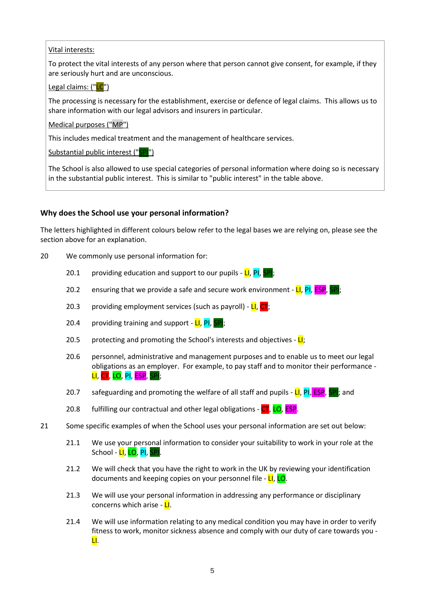#### Vital interests:

To protect the vital interests of any person where that person cannot give consent, for example, if they are seriously hurt and are unconscious.

#### Legal claims: ("LC")

The processing is necessary for the establishment, exercise or defence of legal claims. This allows us to share information with our legal advisors and insurers in particular.

#### Medical purposes ("MP")

This includes medical treatment and the management of healthcare services.

Substantial public interest ("SPI")

The School is also allowed to use special categories of personal information where doing so is necessary in the substantial public interest. This is similar to "public interest" in the table above.

## **Why does the School use your personal information?**

The letters highlighted in different colours below refer to the legal bases we are relying on, please see the section above for an explanation.

- <span id="page-4-0"></span>20 We commonly use personal information for:
	- 20.1 providing education and support to our pupils  $-LI$ ,  $PI$ ,  $SPI$ ;
	- 20.2 ensuring that we provide a safe and secure work environment  $LI$ , PI, ESP, SPI;
	- 20.3 providing employment services (such as payroll)  $LI$ ,  $CT$ ;
	- 20.4 providing training and support  $LI$ , PI, SPI;
	- 20.5 protecting and promoting the School's interests and objectives  $\mathbf{L}$ ;
	- 20.6 personnel, administrative and management purposes and to enable us to meet our legal obligations as an employer. For example, to pay staff and to monitor their performance -  $\overline{\mathsf{LI}}, \overline{\mathsf{CT}}, \overline{\mathsf{LO}}, \overline{\mathsf{PI}}, \overline{\mathsf{ESP}}, \overline{\mathsf{I}}$
	- 20.7 safeguarding and promoting the welfare of all staff and pupils  $L$ , PI, ESP, SPI; and
	- 20.8 fulfilling our contractual and other legal obligations CT, LO, ESP.
- 21 Some specific examples of when the School uses your personal information are set out below:
	- 21.1 We use your personal information to consider your suitability to work in your role at the School - <mark>LI</mark>, LO, PI, SPI.
	- 21.2 We will check that you have the right to work in the UK by reviewing your identification documents and keeping copies on your personnel file - LI, LO.
	- 21.3 We will use your personal information in addressing any performance or disciplinary concerns which arise - LI.
	- 21.4 We will use information relating to any medical condition you may have in order to verify fitness to work, monitor sickness absence and comply with our duty of care towards you - LI.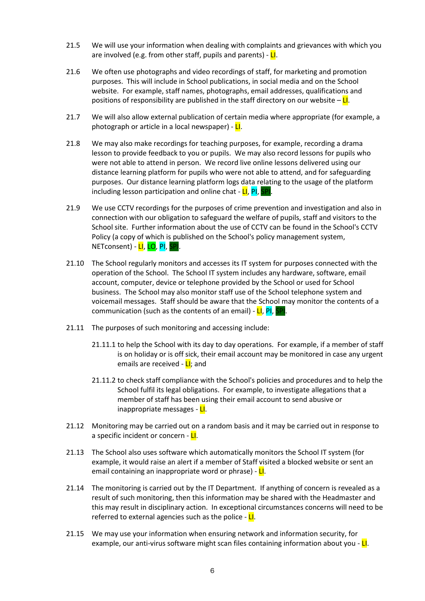- 21.5 We will use your information when dealing with complaints and grievances with which you are involved (e.g. from other staff, pupils and parents) -  $LI$ .
- 21.6 We often use photographs and video recordings of staff, for marketing and promotion purposes. This will include in School publications, in social media and on the School website. For example, staff names, photographs, email addresses, qualifications and positions of responsibility are published in the staff directory on our website  $-\mathbf{L}$ .
- 21.7 We will also allow external publication of certain media where appropriate (for example, a photograph or article in a local newspaper) -  $L1$ .
- 21.8 We may also make recordings for teaching purposes, for example, recording a drama lesson to provide feedback to you or pupils. We may also record lessons for pupils who were not able to attend in person. We record live online lessons delivered using our distance learning platform for pupils who were not able to attend, and for safeguarding purposes. Our distance learning platform logs data relating to the usage of the platform including lesson participation and online chat - LI, PI, SPI
- 21.9 We use CCTV recordings for the purposes of crime prevention and investigation and also in connection with our obligation to safeguard the welfare of pupils, staff and visitors to the School site. Further information about the use of CCTV can be found in the School's CCTV Policy (a copy of which is published on the School's policy management system, NETconsent) - LI, LO, PI, SPI.
- 21.10 The School regularly monitors and accesses its IT system for purposes connected with the operation of the School. The School IT system includes any hardware, software, email account, computer, device or telephone provided by the School or used for School business. The School may also monitor staff use of the School telephone system and voicemail messages. Staff should be aware that the School may monitor the contents of a communication (such as the contents of an email) - LI, PI, SPI.
- 21.11 The purposes of such monitoring and accessing include:
	- 21.11.1 to help the School with its day to day operations. For example, if a member of staff is on holiday or is off sick, their email account may be monitored in case any urgent emails are received - **LI**; and
	- 21.11.2 to check staff compliance with the School's policies and procedures and to help the School fulfil its legal obligations. For example, to investigate allegations that a member of staff has been using their email account to send abusive or inappropriate messages - LI.
- 21.12 Monitoring may be carried out on a random basis and it may be carried out in response to a specific incident or concern - LI.
- 21.13 The School also uses software which automatically monitors the School IT system (for example, it would raise an alert if a member of Staff visited a blocked website or sent an email containing an inappropriate word or phrase) - LI.
- 21.14 The monitoring is carried out by the IT Department. If anything of concern is revealed as a result of such monitoring, then this information may be shared with the Headmaster and this may result in disciplinary action. In exceptional circumstances concerns will need to be referred to external agencies such as the police -  $L$ .
- 21.15 We may use your information when ensuring network and information security, for example, our anti-virus software might scan files containing information about you -  $L1$ .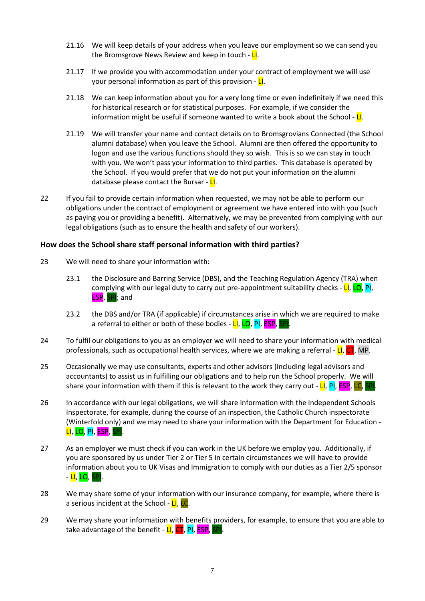- 21.16 We will keep details of your address when you leave our employment so we can send you the Bromsgrove News Review and keep in touch -  $LI$ .
- 21.17 If we provide you with accommodation under your contract of employment we will use your personal information as part of this provision - LI.
- 21.18 We can keep information about you for a very long time or even indefinitely if we need this for historical research or for statistical purposes. For example, if we consider the information might be useful if someone wanted to write a book about the School -  $L1$ .
- 21.19 We will transfer your name and contact details on to Bromsgrovians Connected (the School alumni database) when you leave the School. Alumni are then offered the opportunity to logon and use the various functions should they so wish. This is so we can stay in touch with you. We won't pass your information to third parties. This database is operated by the School. If you would prefer that we do not put your information on the alumni database please contact the Bursar - LI.
- 22 If you fail to provide certain information when requested, we may not be able to perform our obligations under the contract of employment or agreement we have entered into with you (such as paying you or providing a benefit). Alternatively, we may be prevented from complying with our legal obligations (such as to ensure the health and safety of our workers).

#### **How does the School share staff personal information with third parties?**

- 23 We will need to share your information with:
	- 23.1 the Disclosure and Barring Service (DBS), and the Teaching Regulation Agency (TRA) when complying with our legal duty to carry out pre-appointment suitability checks - LI, LO, PI, ESP, SPI; and
	- 23.2 the DBS and/or TRA (if applicable) if circumstances arise in which we are required to make a referral to either or both of these bodies - LI, LO, PI, ESP, SP
- 24 To fulfil our obligations to you as an employer we will need to share your information with medical professionals, such as occupational health services, where we are making a referral  $\text{-}$  LI, CT, MP.
- 25 Occasionally we may use consultants, experts and other advisors (including legal advisors and accountants) to assist us in fulfilling our obligations and to help run the School properly. We will share your information with them if this is relevant to the work they carry out -  $LI$ , PI, ESP, LC, I
- 26 In accordance with our legal obligations, we will share information with the Independent Schools Inspectorate, for example, during the course of an inspection, the Catholic Church inspectorate (Winterfold only) and we may need to share your information with the Department for Education - LI, LO, PI, ESP, SP
- 27 As an employer we must check if you can work in the UK before we employ you. Additionally, if you are sponsored by us under Tier 2 or Tier 5 in certain circumstances we will have to provide information about you to UK Visas and Immigration to comply with our duties as a Tier 2/5 sponsor - <mark>LI</mark>, <mark>LO</mark>, SPI.
- 28 We may share some of your information with our insurance company, for example, where there is a serious incident at the School -  $LI$ ,  $LC$ .
- 29 We may share your information with benefits providers, for example, to ensure that you are able to take advantage of the benefit - LI, CT, PI, ESP, SPI.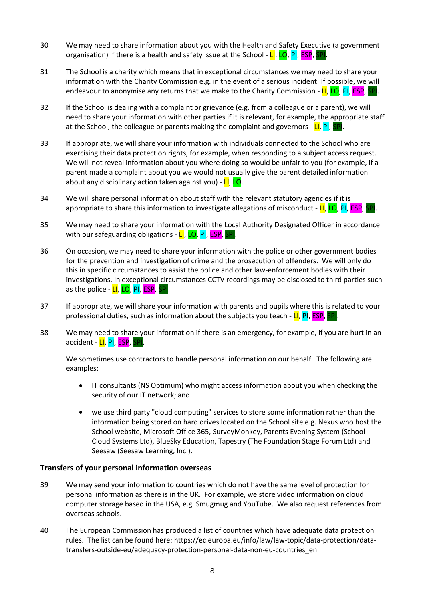- 30 We may need to share information about you with the Health and Safety Executive (a government organisation) if there is a health and safety issue at the School -  $LI$ ,  $LO$ ,  $PI$ ,  $ESP$ ,  $I$
- 31 The School is a charity which means that in exceptional circumstances we may need to share your information with the Charity Commission e.g. in the event of a serious incident. If possible, we will endeavour to anonymise any returns that we make to the Charity Commission - LI, LO, PI, ESP, SPI.
- 32 If the School is dealing with a complaint or grievance (e.g. from a colleague or a parent), we will need to share your information with other parties if it is relevant, for example, the appropriate staff at the School, the colleague or parents making the complaint and governors -  $LI$ , PI, SP
- 33 If appropriate, we will share your information with individuals connected to the School who are exercising their data protection rights, for example, when responding to a subject access request. We will not reveal information about you where doing so would be unfair to you (for example, if a parent made a complaint about you we would not usually give the parent detailed information about any disciplinary action taken against you) - LI, LO.
- 34 We will share personal information about staff with the relevant statutory agencies if it is appropriate to share this information to investigate allegations of misconduct - LI, LO, PI, ESP,
- 35 We may need to share your information with the Local Authority Designated Officer in accordance with our safeguarding obligations - LI, LO, PI, ESP, SPI.
- 36 On occasion, we may need to share your information with the police or other government bodies for the prevention and investigation of crime and the prosecution of offenders. We will only do this in specific circumstances to assist the police and other law-enforcement bodies with their investigations. In exceptional circumstances CCTV recordings may be disclosed to third parties such as the police - LI, LO, PI, ESP, SPI.
- 37 If appropriate, we will share your information with parents and pupils where this is related to your professional duties, such as information about the subjects you teach - LI, PI, ESP, SP
- <span id="page-7-0"></span>38 We may need to share your information if there is an emergency, for example, if you are hurt in an accident - LI, PI, ESP, SPI.

We sometimes use contractors to handle personal information on our behalf. The following are examples:

- IT consultants (NS Optimum) who might access information about you when checking the security of our IT network; and
- we use third party "cloud computing" services to store some information rather than the information being stored on hard drives located on the School site e.g. Nexus who host the School website, Microsoft Office 365, SurveyMonkey, Parents Evening System (School Cloud Systems Ltd), BlueSky Education, Tapestry (The Foundation Stage Forum Ltd) and Seesaw (Seesaw Learning, Inc.).

## **Transfers of your personal information overseas**

- 39 We may send your information to countries which do not have the same level of protection for personal information as there is in the UK. For example, we store video information on cloud computer storage based in the USA, e.g. Smugmug and YouTube. We also request references from overseas schools.
- 40 The European Commission has produced a list of countries which have adequate data protection rules. The list can be found here: https://ec.europa.eu/info/law/law-topic/data-protection/datatransfers-outside-eu/adequacy-protection-personal-data-non-eu-countries\_en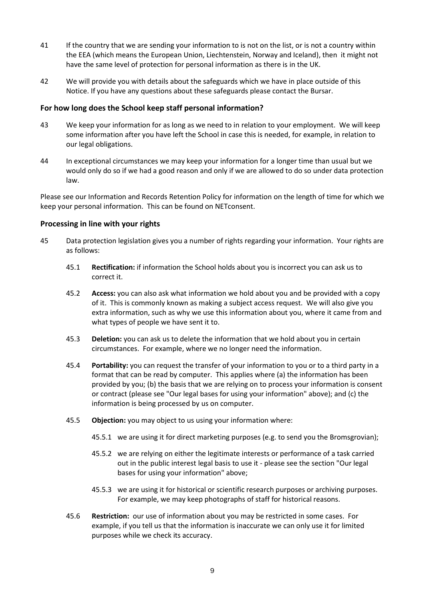- 41 If the country that we are sending your information to is not on the list, or is not a country within the EEA (which means the European Union, Liechtenstein, Norway and Iceland), then it might not have the same level of protection for personal information as there is in the UK.
- 42 We will provide you with details about the safeguards which we have in place outside of this Notice. If you have any questions about these safeguards please contact the Bursar.

### **For how long does the School keep staff personal information?**

- 43 We keep your information for as long as we need to in relation to your employment. We will keep some information after you have left the School in case this is needed, for example, in relation to our legal obligations.
- 44 In exceptional circumstances we may keep your information for a longer time than usual but we would only do so if we had a good reason and only if we are allowed to do so under data protection law.

Please see our Information and Records Retention Policy for information on the length of time for which we keep your personal information. This can be found on NETconsent.

#### **Processing in line with your rights**

- 45 Data protection legislation gives you a number of rights regarding your information. Your rights are as follows:
	- 45.1 **Rectification:** if information the School holds about you is incorrect you can ask us to correct it.
	- 45.2 **Access:** you can also ask what information we hold about you and be provided with a copy of it. This is commonly known as making a subject access request. We will also give you extra information, such as why we use this information about you, where it came from and what types of people we have sent it to.
	- 45.3 **Deletion:** you can ask us to delete the information that we hold about you in certain circumstances. For example, where we no longer need the information.
	- 45.4 **Portability:** you can request the transfer of your information to you or to a third party in a format that can be read by computer. This applies where (a) the information has been provided by you; (b) the basis that we are relying on to process your information is consent or contract (please see "Our legal bases for using your information" above); and (c) the information is being processed by us on computer.
	- 45.5 **Objection:** you may object to us using your information where:
		- 45.5.1 we are using it for direct marketing purposes (e.g. to send you the Bromsgrovian);
		- 45.5.2 we are relying on either the legitimate interests or performance of a task carried out in the public interest legal basis to use it - please see the section "Our legal bases for using your information" above;
		- 45.5.3 we are using it for historical or scientific research purposes or archiving purposes. For example, we may keep photographs of staff for historical reasons.
	- 45.6 **Restriction:** our use of information about you may be restricted in some cases. For example, if you tell us that the information is inaccurate we can only use it for limited purposes while we check its accuracy.